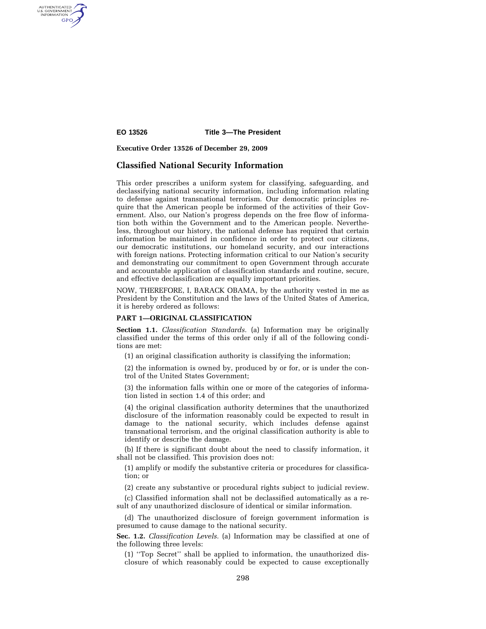AUTHENTICATED<br>U.S. GOVERNMENT<br>INFORMATION GPO

#### **EO 13526 Title 3—The President**

**Executive Order 13526 of December 29, 2009** 

# **Classified National Security Information**

This order prescribes a uniform system for classifying, safeguarding, and declassifying national security information, including information relating to defense against transnational terrorism. Our democratic principles require that the American people be informed of the activities of their Government. Also, our Nation's progress depends on the free flow of information both within the Government and to the American people. Nevertheless, throughout our history, the national defense has required that certain information be maintained in confidence in order to protect our citizens, our democratic institutions, our homeland security, and our interactions with foreign nations. Protecting information critical to our Nation's security and demonstrating our commitment to open Government through accurate and accountable application of classification standards and routine, secure, and effective declassification are equally important priorities.

NOW, THEREFORE, I, BARACK OBAMA, by the authority vested in me as President by the Constitution and the laws of the United States of America, it is hereby ordered as follows:

### **PART 1—ORIGINAL CLASSIFICATION**

**Section 1.1.** *Classification Standards.* (a) Information may be originally classified under the terms of this order only if all of the following conditions are met:

(1) an original classification authority is classifying the information;

(2) the information is owned by, produced by or for, or is under the control of the United States Government;

(3) the information falls within one or more of the categories of information listed in section 1.4 of this order; and

(4) the original classification authority determines that the unauthorized disclosure of the information reasonably could be expected to result in damage to the national security, which includes defense against transnational terrorism, and the original classification authority is able to identify or describe the damage.

(b) If there is significant doubt about the need to classify information, it shall not be classified. This provision does not:

(1) amplify or modify the substantive criteria or procedures for classification; or

(2) create any substantive or procedural rights subject to judicial review.

(c) Classified information shall not be declassified automatically as a result of any unauthorized disclosure of identical or similar information.

(d) The unauthorized disclosure of foreign government information is presumed to cause damage to the national security.

**Sec. 1.2.** *Classification Levels.* (a) Information may be classified at one of the following three levels:

(1) ''Top Secret'' shall be applied to information, the unauthorized disclosure of which reasonably could be expected to cause exceptionally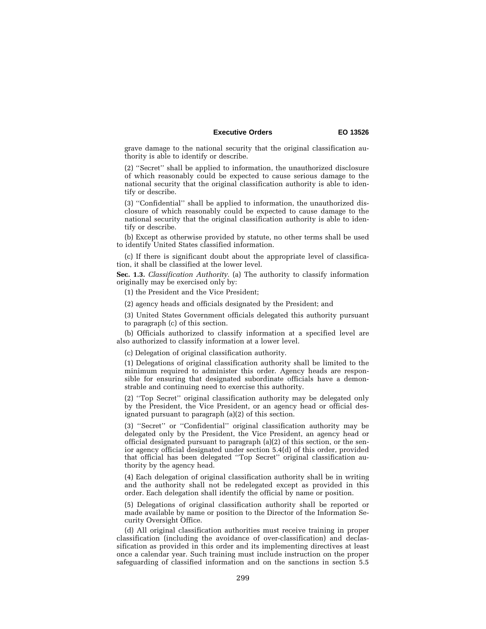grave damage to the national security that the original classification authority is able to identify or describe.

(2) ''Secret'' shall be applied to information, the unauthorized disclosure of which reasonably could be expected to cause serious damage to the national security that the original classification authority is able to identify or describe.

(3) ''Confidential'' shall be applied to information, the unauthorized disclosure of which reasonably could be expected to cause damage to the national security that the original classification authority is able to identify or describe.

(b) Except as otherwise provided by statute, no other terms shall be used to identify United States classified information.

(c) If there is significant doubt about the appropriate level of classification, it shall be classified at the lower level.

**Sec. 1.3.** *Classification Authority.* (a) The authority to classify information originally may be exercised only by:

(1) the President and the Vice President;

(2) agency heads and officials designated by the President; and

(3) United States Government officials delegated this authority pursuant to paragraph (c) of this section.

(b) Officials authorized to classify information at a specified level are also authorized to classify information at a lower level.

(c) Delegation of original classification authority.

(1) Delegations of original classification authority shall be limited to the minimum required to administer this order. Agency heads are responsible for ensuring that designated subordinate officials have a demonstrable and continuing need to exercise this authority.

(2) ''Top Secret'' original classification authority may be delegated only by the President, the Vice President, or an agency head or official designated pursuant to paragraph (a)(2) of this section.

(3) ''Secret'' or ''Confidential'' original classification authority may be delegated only by the President, the Vice President, an agency head or official designated pursuant to paragraph (a)(2) of this section, or the senior agency official designated under section 5.4(d) of this order, provided that official has been delegated ''Top Secret'' original classification authority by the agency head.

(4) Each delegation of original classification authority shall be in writing and the authority shall not be redelegated except as provided in this order. Each delegation shall identify the official by name or position.

(5) Delegations of original classification authority shall be reported or made available by name or position to the Director of the Information Security Oversight Office.

(d) All original classification authorities must receive training in proper classification (including the avoidance of over-classification) and declassification as provided in this order and its implementing directives at least once a calendar year. Such training must include instruction on the proper safeguarding of classified information and on the sanctions in section 5.5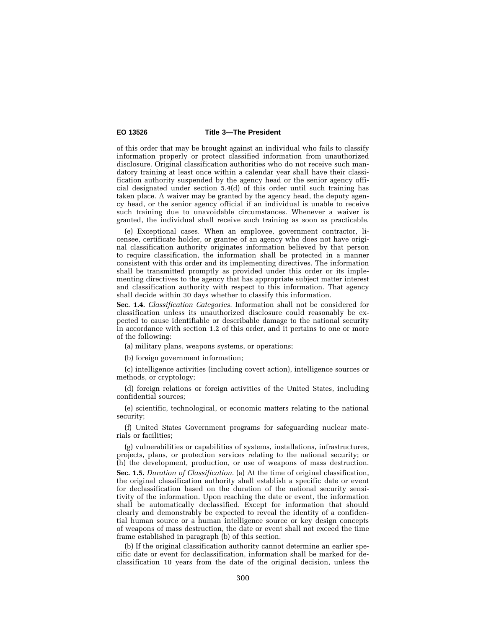of this order that may be brought against an individual who fails to classify information properly or protect classified information from unauthorized disclosure. Original classification authorities who do not receive such mandatory training at least once within a calendar year shall have their classification authority suspended by the agency head or the senior agency official designated under section 5.4(d) of this order until such training has taken place. A waiver may be granted by the agency head, the deputy agency head, or the senior agency official if an individual is unable to receive such training due to unavoidable circumstances. Whenever a waiver is granted, the individual shall receive such training as soon as practicable.

(e) Exceptional cases. When an employee, government contractor, licensee, certificate holder, or grantee of an agency who does not have original classification authority originates information believed by that person to require classification, the information shall be protected in a manner consistent with this order and its implementing directives. The information shall be transmitted promptly as provided under this order or its implementing directives to the agency that has appropriate subject matter interest and classification authority with respect to this information. That agency shall decide within 30 days whether to classify this information.

**Sec. 1.4.** *Classification Categories.* Information shall not be considered for classification unless its unauthorized disclosure could reasonably be expected to cause identifiable or describable damage to the national security in accordance with section 1.2 of this order, and it pertains to one or more of the following:

(a) military plans, weapons systems, or operations;

(b) foreign government information;

(c) intelligence activities (including covert action), intelligence sources or methods, or cryptology;

(d) foreign relations or foreign activities of the United States, including confidential sources;

(e) scientific, technological, or economic matters relating to the national security;

(f) United States Government programs for safeguarding nuclear materials or facilities;

(g) vulnerabilities or capabilities of systems, installations, infrastructures, projects, plans, or protection services relating to the national security; or (h) the development, production, or use of weapons of mass destruction.

**Sec. 1.5.** *Duration of Classification.* (a) At the time of original classification, the original classification authority shall establish a specific date or event for declassification based on the duration of the national security sensitivity of the information. Upon reaching the date or event, the information shall be automatically declassified. Except for information that should clearly and demonstrably be expected to reveal the identity of a confidential human source or a human intelligence source or key design concepts of weapons of mass destruction, the date or event shall not exceed the time frame established in paragraph (b) of this section.

(b) If the original classification authority cannot determine an earlier specific date or event for declassification, information shall be marked for declassification 10 years from the date of the original decision, unless the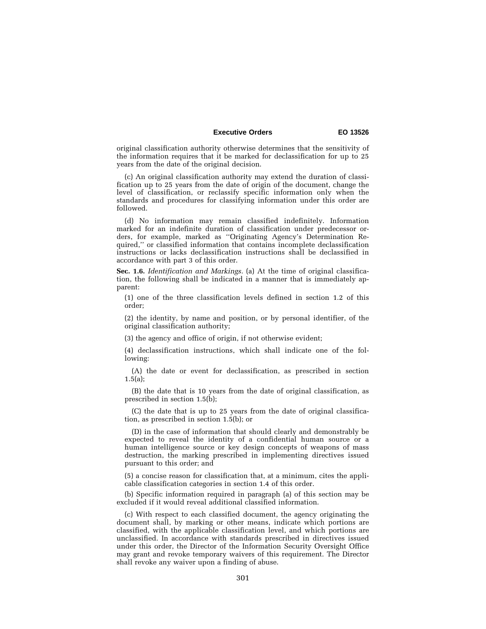original classification authority otherwise determines that the sensitivity of the information requires that it be marked for declassification for up to 25 years from the date of the original decision.

(c) An original classification authority may extend the duration of classification up to 25 years from the date of origin of the document, change the level of classification, or reclassify specific information only when the standards and procedures for classifying information under this order are followed.

(d) No information may remain classified indefinitely. Information marked for an indefinite duration of classification under predecessor orders, for example, marked as ''Originating Agency's Determination Required,'' or classified information that contains incomplete declassification instructions or lacks declassification instructions shall be declassified in accordance with part 3 of this order.

**Sec. 1.6.** *Identification and Markings.* (a) At the time of original classification, the following shall be indicated in a manner that is immediately apparent:

(1) one of the three classification levels defined in section 1.2 of this order;

(2) the identity, by name and position, or by personal identifier, of the original classification authority;

(3) the agency and office of origin, if not otherwise evident;

(4) declassification instructions, which shall indicate one of the following:

(A) the date or event for declassification, as prescribed in section  $1.5(a);$ 

(B) the date that is 10 years from the date of original classification, as prescribed in section 1.5(b);

(C) the date that is up to 25 years from the date of original classification, as prescribed in section 1.5(b); or

(D) in the case of information that should clearly and demonstrably be expected to reveal the identity of a confidential human source or a human intelligence source or key design concepts of weapons of mass destruction, the marking prescribed in implementing directives issued pursuant to this order; and

(5) a concise reason for classification that, at a minimum, cites the applicable classification categories in section 1.4 of this order.

(b) Specific information required in paragraph (a) of this section may be excluded if it would reveal additional classified information.

(c) With respect to each classified document, the agency originating the document shall, by marking or other means, indicate which portions are classified, with the applicable classification level, and which portions are unclassified. In accordance with standards prescribed in directives issued under this order, the Director of the Information Security Oversight Office may grant and revoke temporary waivers of this requirement. The Director shall revoke any waiver upon a finding of abuse.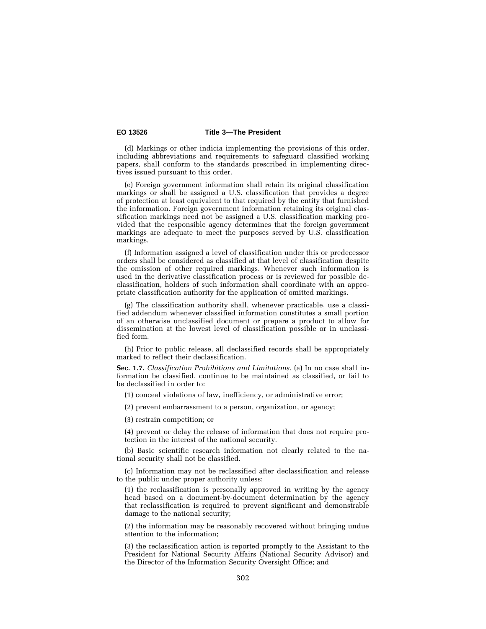(d) Markings or other indicia implementing the provisions of this order, including abbreviations and requirements to safeguard classified working papers, shall conform to the standards prescribed in implementing directives issued pursuant to this order.

(e) Foreign government information shall retain its original classification markings or shall be assigned a U.S. classification that provides a degree of protection at least equivalent to that required by the entity that furnished the information. Foreign government information retaining its original classification markings need not be assigned a U.S. classification marking provided that the responsible agency determines that the foreign government markings are adequate to meet the purposes served by U.S. classification markings.

(f) Information assigned a level of classification under this or predecessor orders shall be considered as classified at that level of classification despite the omission of other required markings. Whenever such information is used in the derivative classification process or is reviewed for possible declassification, holders of such information shall coordinate with an appropriate classification authority for the application of omitted markings.

(g) The classification authority shall, whenever practicable, use a classified addendum whenever classified information constitutes a small portion of an otherwise unclassified document or prepare a product to allow for dissemination at the lowest level of classification possible or in unclassified form.

(h) Prior to public release, all declassified records shall be appropriately marked to reflect their declassification.

**Sec. 1.7.** *Classification Prohibitions and Limitations.* (a) In no case shall information be classified, continue to be maintained as classified, or fail to be declassified in order to:

(1) conceal violations of law, inefficiency, or administrative error;

(2) prevent embarrassment to a person, organization, or agency;

(3) restrain competition; or

(4) prevent or delay the release of information that does not require protection in the interest of the national security.

(b) Basic scientific research information not clearly related to the national security shall not be classified.

(c) Information may not be reclassified after declassification and release to the public under proper authority unless:

(1) the reclassification is personally approved in writing by the agency head based on a document-by-document determination by the agency that reclassification is required to prevent significant and demonstrable damage to the national security;

(2) the information may be reasonably recovered without bringing undue attention to the information;

(3) the reclassification action is reported promptly to the Assistant to the President for National Security Affairs (National Security Advisor) and the Director of the Information Security Oversight Office; and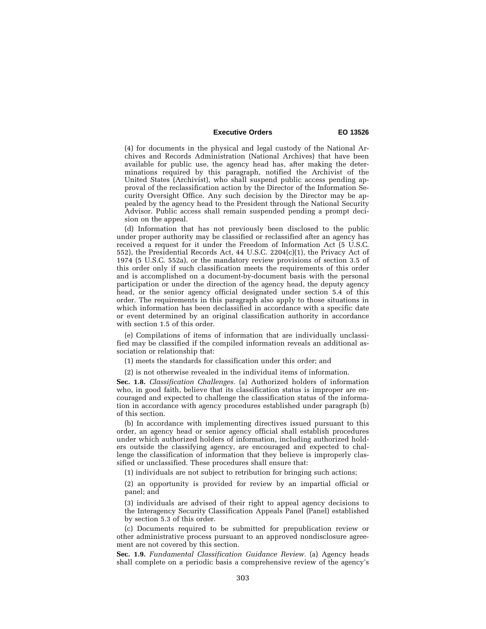(4) for documents in the physical and legal custody of the National Archives and Records Administration (National Archives) that have been available for public use, the agency head has, after making the determinations required by this paragraph, notified the Archivist of the United States (Archivist), who shall suspend public access pending approval of the reclassification action by the Director of the Information Security Oversight Office. Any such decision by the Director may be appealed by the agency head to the President through the National Security Advisor. Public access shall remain suspended pending a prompt decision on the appeal.

(d) Information that has not previously been disclosed to the public under proper authority may be classified or reclassified after an agency has received a request for it under the Freedom of Information Act (5 U.S.C. 552), the Presidential Records Act, 44 U.S.C. 2204(c)(1), the Privacy Act of 1974 (5 U.S.C. 552a), or the mandatory review provisions of section 3.5 of this order only if such classification meets the requirements of this order and is accomplished on a document-by-document basis with the personal participation or under the direction of the agency head, the deputy agency head, or the senior agency official designated under section 5.4 of this order. The requirements in this paragraph also apply to those situations in which information has been declassified in accordance with a specific date or event determined by an original classification authority in accordance with section 1.5 of this order.

(e) Compilations of items of information that are individually unclassified may be classified if the compiled information reveals an additional association or relationship that:

(1) meets the standards for classification under this order; and

(2) is not otherwise revealed in the individual items of information.

**Sec. 1.8.** *Classification Challenges.* (a) Authorized holders of information who, in good faith, believe that its classification status is improper are encouraged and expected to challenge the classification status of the information in accordance with agency procedures established under paragraph (b) of this section.

(b) In accordance with implementing directives issued pursuant to this order, an agency head or senior agency official shall establish procedures under which authorized holders of information, including authorized holders outside the classifying agency, are encouraged and expected to challenge the classification of information that they believe is improperly classified or unclassified. These procedures shall ensure that:

(1) individuals are not subject to retribution for bringing such actions;

(2) an opportunity is provided for review by an impartial official or panel; and

(3) individuals are advised of their right to appeal agency decisions to the Interagency Security Classification Appeals Panel (Panel) established by section 5.3 of this order.

(c) Documents required to be submitted for prepublication review or other administrative process pursuant to an approved nondisclosure agreement are not covered by this section.

**Sec. 1.9.** *Fundamental Classification Guidance Review.* (a) Agency heads shall complete on a periodic basis a comprehensive review of the agency's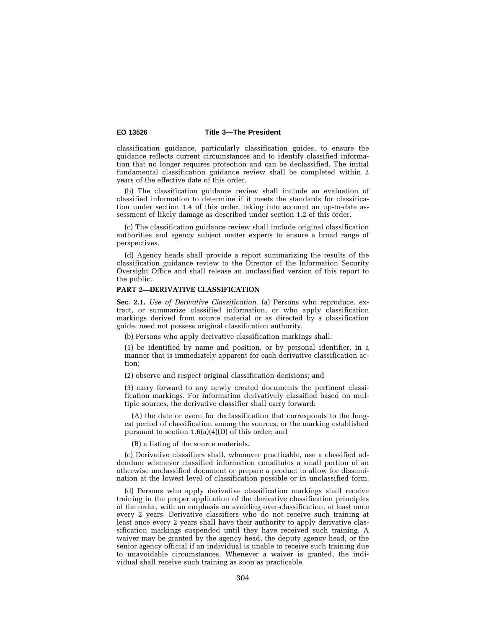classification guidance, particularly classification guides, to ensure the guidance reflects current circumstances and to identify classified information that no longer requires protection and can be declassified. The initial fundamental classification guidance review shall be completed within 2 years of the effective date of this order.

(b) The classification guidance review shall include an evaluation of classified information to determine if it meets the standards for classification under section 1.4 of this order, taking into account an up-to-date assessment of likely damage as described under section 1.2 of this order.

(c) The classification guidance review shall include original classification authorities and agency subject matter experts to ensure a broad range of perspectives.

(d) Agency heads shall provide a report summarizing the results of the classification guidance review to the Director of the Information Security Oversight Office and shall release an unclassified version of this report to the public.

# **PART 2—DERIVATIVE CLASSIFICATION**

**Sec. 2.1.** *Use of Derivative Classification.* (a) Persons who reproduce, extract, or summarize classified information, or who apply classification markings derived from source material or as directed by a classification guide, need not possess original classification authority.

(b) Persons who apply derivative classification markings shall:

(1) be identified by name and position, or by personal identifier, in a manner that is immediately apparent for each derivative classification action;

(2) observe and respect original classification decisions; and

(3) carry forward to any newly created documents the pertinent classification markings. For information derivatively classified based on multiple sources, the derivative classifier shall carry forward:

(A) the date or event for declassification that corresponds to the longest period of classification among the sources, or the marking established pursuant to section 1.6(a)(4)(D) of this order; and

(B) a listing of the source materials.

(c) Derivative classifiers shall, whenever practicable, use a classified addendum whenever classified information constitutes a small portion of an otherwise unclassified document or prepare a product to allow for dissemination at the lowest level of classification possible or in unclassified form.

(d) Persons who apply derivative classification markings shall receive training in the proper application of the derivative classification principles of the order, with an emphasis on avoiding over-classification, at least once every 2 years. Derivative classifiers who do not receive such training at least once every 2 years shall have their authority to apply derivative classification markings suspended until they have received such training. A waiver may be granted by the agency head, the deputy agency head, or the senior agency official if an individual is unable to receive such training due to unavoidable circumstances. Whenever a waiver is granted, the individual shall receive such training as soon as practicable.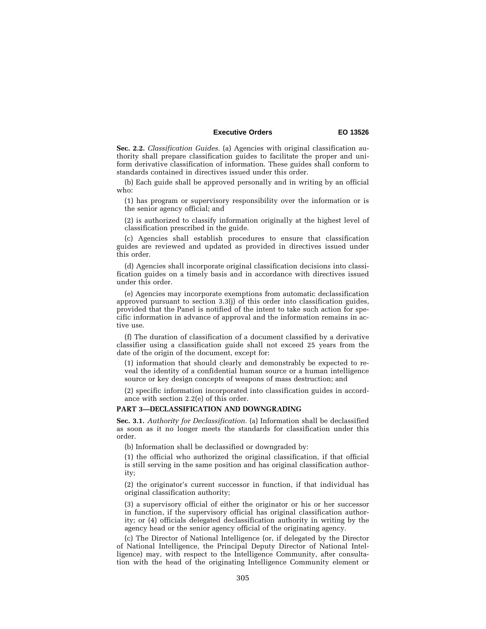**Sec. 2.2.** *Classification Guides.* (a) Agencies with original classification authority shall prepare classification guides to facilitate the proper and uniform derivative classification of information. These guides shall conform to standards contained in directives issued under this order.

(b) Each guide shall be approved personally and in writing by an official who:

(1) has program or supervisory responsibility over the information or is the senior agency official; and

(2) is authorized to classify information originally at the highest level of classification prescribed in the guide.

(c) Agencies shall establish procedures to ensure that classification guides are reviewed and updated as provided in directives issued under this order.

(d) Agencies shall incorporate original classification decisions into classification guides on a timely basis and in accordance with directives issued under this order.

(e) Agencies may incorporate exemptions from automatic declassification approved pursuant to section 3.3(j) of this order into classification guides, provided that the Panel is notified of the intent to take such action for specific information in advance of approval and the information remains in active use.

(f) The duration of classification of a document classified by a derivative classifier using a classification guide shall not exceed 25 years from the date of the origin of the document, except for:

(1) information that should clearly and demonstrably be expected to reveal the identity of a confidential human source or a human intelligence source or key design concepts of weapons of mass destruction; and

(2) specific information incorporated into classification guides in accordance with section 2.2(e) of this order.

### **PART 3—DECLASSIFICATION AND DOWNGRADING**

**Sec. 3.1.** *Authority for Declassification.* (a) Information shall be declassified as soon as it no longer meets the standards for classification under this order.

(b) Information shall be declassified or downgraded by:

(1) the official who authorized the original classification, if that official is still serving in the same position and has original classification authority;

(2) the originator's current successor in function, if that individual has original classification authority;

(3) a supervisory official of either the originator or his or her successor in function, if the supervisory official has original classification authority; or (4) officials delegated declassification authority in writing by the agency head or the senior agency official of the originating agency.

(c) The Director of National Intelligence (or, if delegated by the Director of National Intelligence, the Principal Deputy Director of National Intelligence) may, with respect to the Intelligence Community, after consultation with the head of the originating Intelligence Community element or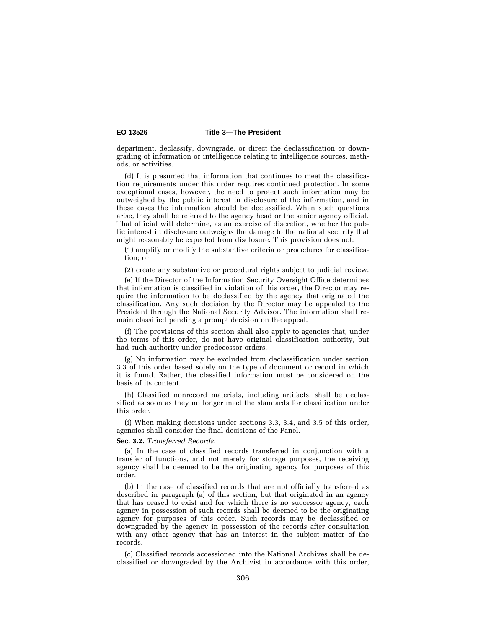department, declassify, downgrade, or direct the declassification or downgrading of information or intelligence relating to intelligence sources, methods, or activities.

(d) It is presumed that information that continues to meet the classification requirements under this order requires continued protection. In some exceptional cases, however, the need to protect such information may be outweighed by the public interest in disclosure of the information, and in these cases the information should be declassified. When such questions arise, they shall be referred to the agency head or the senior agency official. That official will determine, as an exercise of discretion, whether the public interest in disclosure outweighs the damage to the national security that might reasonably be expected from disclosure. This provision does not:

(1) amplify or modify the substantive criteria or procedures for classification; or

(2) create any substantive or procedural rights subject to judicial review.

(e) If the Director of the Information Security Oversight Office determines that information is classified in violation of this order, the Director may require the information to be declassified by the agency that originated the classification. Any such decision by the Director may be appealed to the President through the National Security Advisor. The information shall remain classified pending a prompt decision on the appeal.

(f) The provisions of this section shall also apply to agencies that, under the terms of this order, do not have original classification authority, but had such authority under predecessor orders.

(g) No information may be excluded from declassification under section 3.3 of this order based solely on the type of document or record in which it is found. Rather, the classified information must be considered on the basis of its content.

(h) Classified nonrecord materials, including artifacts, shall be declassified as soon as they no longer meet the standards for classification under this order.

(i) When making decisions under sections 3.3, 3.4, and 3.5 of this order, agencies shall consider the final decisions of the Panel.

# **Sec. 3.2.** *Transferred Records.*

(a) In the case of classified records transferred in conjunction with a transfer of functions, and not merely for storage purposes, the receiving agency shall be deemed to be the originating agency for purposes of this order.

(b) In the case of classified records that are not officially transferred as described in paragraph (a) of this section, but that originated in an agency that has ceased to exist and for which there is no successor agency, each agency in possession of such records shall be deemed to be the originating agency for purposes of this order. Such records may be declassified or downgraded by the agency in possession of the records after consultation with any other agency that has an interest in the subject matter of the records.

(c) Classified records accessioned into the National Archives shall be declassified or downgraded by the Archivist in accordance with this order,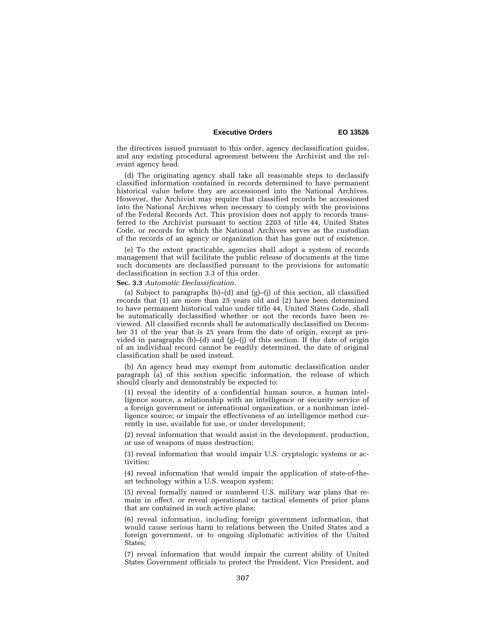the directives issued pursuant to this order, agency declassification guides, and any existing procedural agreement between the Archivist and the relevant agency head.

(d) The originating agency shall take all reasonable steps to declassify classified information contained in records determined to have permanent historical value before they are accessioned into the National Archives. However, the Archivist may require that classified records be accessioned into the National Archives when necessary to comply with the provisions of the Federal Records Act. This provision does not apply to records transferred to the Archivist pursuant to section 2203 of title 44, United States Code, or records for which the National Archives serves as the custodian of the records of an agency or organization that has gone out of existence.

(e) To the extent practicable, agencies shall adopt a system of records management that will facilitate the public release of documents at the time such documents are declassified pursuant to the provisions for automatic declassification in section 3.3 of this order.

### **Sec. 3.3** *Automatic Declassification.*

(a) Subject to paragraphs (b)–(d) and (g)–(j) of this section, all classified records that (1) are more than 25 years old and (2) have been determined to have permanent historical value under title 44, United States Code, shall be automatically declassified whether or not the records have been reviewed. All classified records shall be automatically declassified on December 31 of the year that is 25 years from the date of origin, except as provided in paragraphs (b)–(d) and (g)–(j) of this section. If the date of origin of an individual record cannot be readily determined, the date of original classification shall be used instead.

(b) An agency head may exempt from automatic declassification under paragraph (a) of this section specific information, the release of which should clearly and demonstrably be expected to:

(1) reveal the identity of a confidential human source, a human intelligence source, a relationship with an intelligence or security service of a foreign government or international organization, or a nonhuman intelligence source; or impair the effectiveness of an intelligence method currently in use, available for use, or under development;

(2) reveal information that would assist in the development, production, or use of weapons of mass destruction;

(3) reveal information that would impair U.S. cryptologic systems or activities;

(4) reveal information that would impair the application of state-of-theart technology within a U.S. weapon system;

(5) reveal formally named or numbered U.S. military war plans that remain in effect, or reveal operational or tactical elements of prior plans that are contained in such active plans;

(6) reveal information, including foreign government information, that would cause serious harm to relations between the United States and a foreign government, or to ongoing diplomatic activities of the United States;

(7) reveal information that would impair the current ability of United States Government officials to protect the President, Vice President, and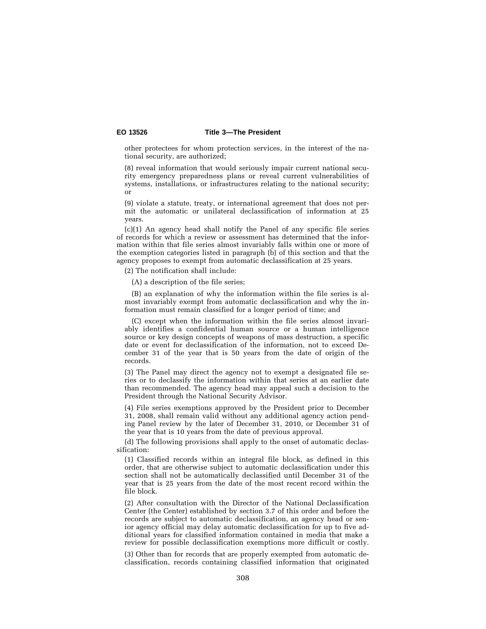other protectees for whom protection services, in the interest of the national security, are authorized;

(8) reveal information that would seriously impair current national security emergency preparedness plans or reveal current vulnerabilities of systems, installations, or infrastructures relating to the national security; or

(9) violate a statute, treaty, or international agreement that does not permit the automatic or unilateral declassification of information at 25 years.

(c)(1) An agency head shall notify the Panel of any specific file series of records for which a review or assessment has determined that the information within that file series almost invariably falls within one or more of the exemption categories listed in paragraph (b) of this section and that the agency proposes to exempt from automatic declassification at 25 years.

(2) The notification shall include:

(A) a description of the file series;

(B) an explanation of why the information within the file series is almost invariably exempt from automatic declassification and why the information must remain classified for a longer period of time; and

(C) except when the information within the file series almost invariably identifies a confidential human source or a human intelligence source or key design concepts of weapons of mass destruction, a specific date or event for declassification of the information, not to exceed December 31 of the year that is 50 years from the date of origin of the records.

(3) The Panel may direct the agency not to exempt a designated file series or to declassify the information within that series at an earlier date than recommended. The agency head may appeal such a decision to the President through the National Security Advisor.

(4) File series exemptions approved by the President prior to December 31, 2008, shall remain valid without any additional agency action pending Panel review by the later of December 31, 2010, or December 31 of the year that is 10 years from the date of previous approval.

(d) The following provisions shall apply to the onset of automatic declassification:

(1) Classified records within an integral file block, as defined in this order, that are otherwise subject to automatic declassification under this section shall not be automatically declassified until December 31 of the year that is 25 years from the date of the most recent record within the file block.

(2) After consultation with the Director of the National Declassification Center (the Center) established by section 3.7 of this order and before the records are subject to automatic declassification, an agency head or senior agency official may delay automatic declassification for up to five additional years for classified information contained in media that make a review for possible declassification exemptions more difficult or costly.

(3) Other than for records that are properly exempted from automatic declassification, records containing classified information that originated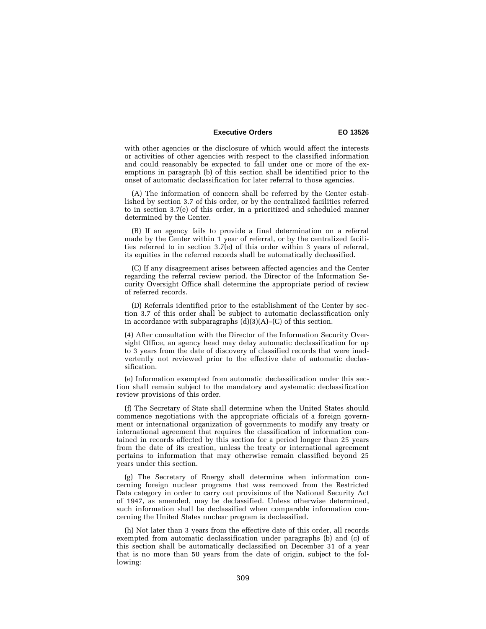with other agencies or the disclosure of which would affect the interests or activities of other agencies with respect to the classified information and could reasonably be expected to fall under one or more of the exemptions in paragraph (b) of this section shall be identified prior to the onset of automatic declassification for later referral to those agencies.

(A) The information of concern shall be referred by the Center established by section 3.7 of this order, or by the centralized facilities referred to in section 3.7(e) of this order, in a prioritized and scheduled manner determined by the Center.

(B) If an agency fails to provide a final determination on a referral made by the Center within 1 year of referral, or by the centralized facilities referred to in section 3.7(e) of this order within 3 years of referral, its equities in the referred records shall be automatically declassified.

(C) If any disagreement arises between affected agencies and the Center regarding the referral review period, the Director of the Information Security Oversight Office shall determine the appropriate period of review of referred records.

(D) Referrals identified prior to the establishment of the Center by section 3.7 of this order shall be subject to automatic declassification only in accordance with subparagraphs (d)(3)(A)–(C) of this section.

(4) After consultation with the Director of the Information Security Oversight Office, an agency head may delay automatic declassification for up to 3 years from the date of discovery of classified records that were inadvertently not reviewed prior to the effective date of automatic declassification.

(e) Information exempted from automatic declassification under this section shall remain subject to the mandatory and systematic declassification review provisions of this order.

(f) The Secretary of State shall determine when the United States should commence negotiations with the appropriate officials of a foreign government or international organization of governments to modify any treaty or international agreement that requires the classification of information contained in records affected by this section for a period longer than 25 years from the date of its creation, unless the treaty or international agreement pertains to information that may otherwise remain classified beyond 25 years under this section.

(g) The Secretary of Energy shall determine when information concerning foreign nuclear programs that was removed from the Restricted Data category in order to carry out provisions of the National Security Act of 1947, as amended, may be declassified. Unless otherwise determined, such information shall be declassified when comparable information concerning the United States nuclear program is declassified.

(h) Not later than 3 years from the effective date of this order, all records exempted from automatic declassification under paragraphs (b) and (c) of this section shall be automatically declassified on December 31 of a year that is no more than 50 years from the date of origin, subject to the following: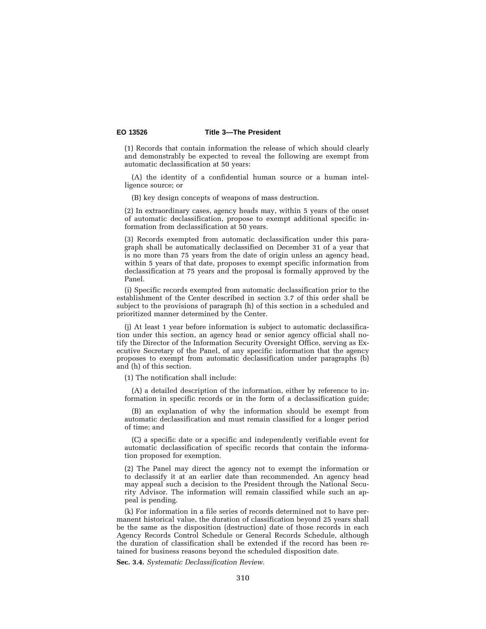(1) Records that contain information the release of which should clearly and demonstrably be expected to reveal the following are exempt from automatic declassification at 50 years:

(A) the identity of a confidential human source or a human intelligence source; or

(B) key design concepts of weapons of mass destruction.

(2) In extraordinary cases, agency heads may, within 5 years of the onset of automatic declassification, propose to exempt additional specific information from declassification at 50 years.

(3) Records exempted from automatic declassification under this paragraph shall be automatically declassified on December 31 of a year that is no more than 75 years from the date of origin unless an agency head, within 5 years of that date, proposes to exempt specific information from declassification at 75 years and the proposal is formally approved by the Panel.

(i) Specific records exempted from automatic declassification prior to the establishment of the Center described in section 3.7 of this order shall be subject to the provisions of paragraph (h) of this section in a scheduled and prioritized manner determined by the Center.

(j) At least 1 year before information is subject to automatic declassification under this section, an agency head or senior agency official shall notify the Director of the Information Security Oversight Office, serving as Executive Secretary of the Panel, of any specific information that the agency proposes to exempt from automatic declassification under paragraphs (b) and (h) of this section.

(1) The notification shall include:

(A) a detailed description of the information, either by reference to information in specific records or in the form of a declassification guide;

(B) an explanation of why the information should be exempt from automatic declassification and must remain classified for a longer period of time; and

(C) a specific date or a specific and independently verifiable event for automatic declassification of specific records that contain the information proposed for exemption.

(2) The Panel may direct the agency not to exempt the information or to declassify it at an earlier date than recommended. An agency head may appeal such a decision to the President through the National Security Advisor. The information will remain classified while such an appeal is pending.

(k) For information in a file series of records determined not to have permanent historical value, the duration of classification beyond 25 years shall be the same as the disposition (destruction) date of those records in each Agency Records Control Schedule or General Records Schedule, although the duration of classification shall be extended if the record has been retained for business reasons beyond the scheduled disposition date.

**Sec. 3.4.** *Systematic Declassification Review.*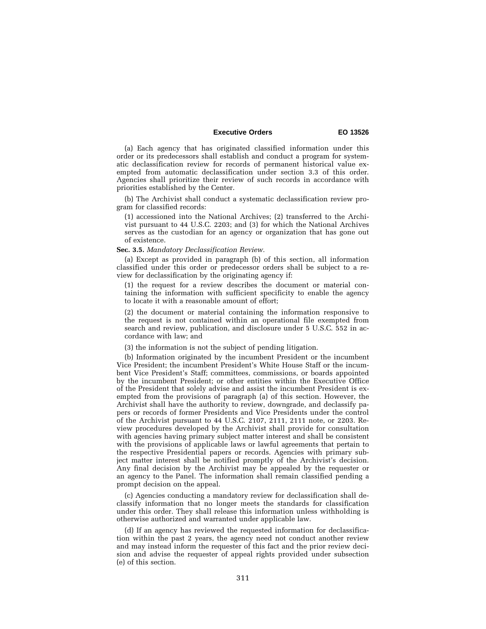(a) Each agency that has originated classified information under this order or its predecessors shall establish and conduct a program for systematic declassification review for records of permanent historical value exempted from automatic declassification under section 3.3 of this order. Agencies shall prioritize their review of such records in accordance with priorities established by the Center.

(b) The Archivist shall conduct a systematic declassification review program for classified records:

(1) accessioned into the National Archives; (2) transferred to the Archivist pursuant to 44 U.S.C. 2203; and (3) for which the National Archives serves as the custodian for an agency or organization that has gone out of existence.

#### **Sec. 3.5.** *Mandatory Declassification Review.*

(a) Except as provided in paragraph (b) of this section, all information classified under this order or predecessor orders shall be subject to a review for declassification by the originating agency if:

(1) the request for a review describes the document or material containing the information with sufficient specificity to enable the agency to locate it with a reasonable amount of effort;

(2) the document or material containing the information responsive to the request is not contained within an operational file exempted from search and review, publication, and disclosure under 5 U.S.C. 552 in accordance with law; and

(3) the information is not the subject of pending litigation.

(b) Information originated by the incumbent President or the incumbent Vice President; the incumbent President's White House Staff or the incumbent Vice President's Staff; committees, commissions, or boards appointed by the incumbent President; or other entities within the Executive Office of the President that solely advise and assist the incumbent President is exempted from the provisions of paragraph (a) of this section. However, the Archivist shall have the authority to review, downgrade, and declassify papers or records of former Presidents and Vice Presidents under the control of the Archivist pursuant to 44 U.S.C. 2107, 2111, 2111 note, or 2203. Review procedures developed by the Archivist shall provide for consultation with agencies having primary subject matter interest and shall be consistent with the provisions of applicable laws or lawful agreements that pertain to the respective Presidential papers or records. Agencies with primary subject matter interest shall be notified promptly of the Archivist's decision. Any final decision by the Archivist may be appealed by the requester or an agency to the Panel. The information shall remain classified pending a prompt decision on the appeal.

(c) Agencies conducting a mandatory review for declassification shall declassify information that no longer meets the standards for classification under this order. They shall release this information unless withholding is otherwise authorized and warranted under applicable law.

(d) If an agency has reviewed the requested information for declassification within the past 2 years, the agency need not conduct another review and may instead inform the requester of this fact and the prior review decision and advise the requester of appeal rights provided under subsection (e) of this section.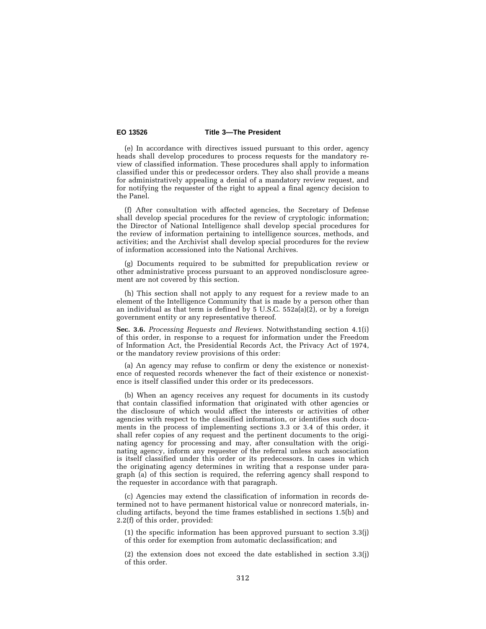(e) In accordance with directives issued pursuant to this order, agency heads shall develop procedures to process requests for the mandatory review of classified information. These procedures shall apply to information classified under this or predecessor orders. They also shall provide a means for administratively appealing a denial of a mandatory review request, and for notifying the requester of the right to appeal a final agency decision to the Panel.

(f) After consultation with affected agencies, the Secretary of Defense shall develop special procedures for the review of cryptologic information; the Director of National Intelligence shall develop special procedures for the review of information pertaining to intelligence sources, methods, and activities; and the Archivist shall develop special procedures for the review of information accessioned into the National Archives.

(g) Documents required to be submitted for prepublication review or other administrative process pursuant to an approved nondisclosure agreement are not covered by this section.

(h) This section shall not apply to any request for a review made to an element of the Intelligence Community that is made by a person other than an individual as that term is defined by  $5 \text{ U.S.C. } 552a(a)(2)$ , or by a foreign government entity or any representative thereof.

**Sec. 3.6.** *Processing Requests and Reviews.* Notwithstanding section 4.1(i) of this order, in response to a request for information under the Freedom of Information Act, the Presidential Records Act, the Privacy Act of 1974, or the mandatory review provisions of this order:

(a) An agency may refuse to confirm or deny the existence or nonexistence of requested records whenever the fact of their existence or nonexistence is itself classified under this order or its predecessors.

(b) When an agency receives any request for documents in its custody that contain classified information that originated with other agencies or the disclosure of which would affect the interests or activities of other agencies with respect to the classified information, or identifies such documents in the process of implementing sections 3.3 or 3.4 of this order, it shall refer copies of any request and the pertinent documents to the originating agency for processing and may, after consultation with the originating agency, inform any requester of the referral unless such association is itself classified under this order or its predecessors. In cases in which the originating agency determines in writing that a response under paragraph (a) of this section is required, the referring agency shall respond to the requester in accordance with that paragraph.

(c) Agencies may extend the classification of information in records determined not to have permanent historical value or nonrecord materials, including artifacts, beyond the time frames established in sections 1.5(b) and 2.2(f) of this order, provided:

(1) the specific information has been approved pursuant to section 3.3(j) of this order for exemption from automatic declassification; and

(2) the extension does not exceed the date established in section 3.3(j) of this order.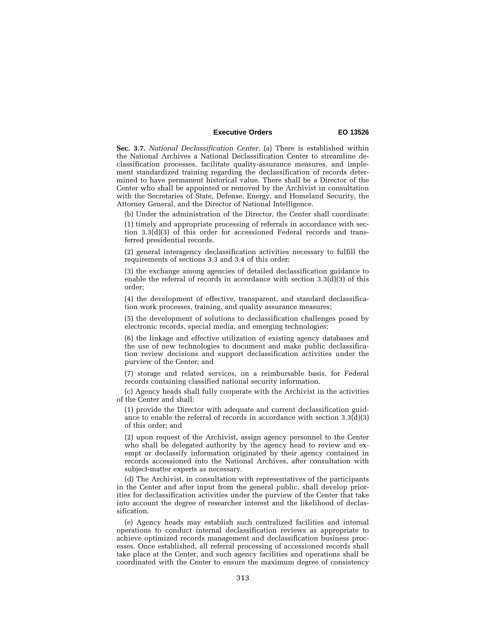**Sec. 3.7.** *National Declassification Center.* (a) There is established within the National Archives a National Declassification Center to streamline declassification processes, facilitate quality-assurance measures, and implement standardized training regarding the declassification of records determined to have permanent historical value. There shall be a Director of the Center who shall be appointed or removed by the Archivist in consultation with the Secretaries of State, Defense, Energy, and Homeland Security, the Attorney General, and the Director of National Intelligence.

(b) Under the administration of the Director, the Center shall coordinate:

(1) timely and appropriate processing of referrals in accordance with section 3.3(d)(3) of this order for accessioned Federal records and transferred presidential records.

(2) general interagency declassification activities necessary to fulfill the requirements of sections 3.3 and 3.4 of this order;

(3) the exchange among agencies of detailed declassification guidance to enable the referral of records in accordance with section  $3.3(\bar{d})(3)$  of this order;

(4) the development of effective, transparent, and standard declassification work processes, training, and quality assurance measures;

(5) the development of solutions to declassification challenges posed by electronic records, special media, and emerging technologies;

(6) the linkage and effective utilization of existing agency databases and the use of new technologies to document and make public declassification review decisions and support declassification activities under the purview of the Center; and

(7) storage and related services, on a reimbursable basis, for Federal records containing classified national security information.

(c) Agency heads shall fully cooperate with the Archivist in the activities of the Center and shall:

(1) provide the Director with adequate and current declassification guidance to enable the referral of records in accordance with section  $3.3(d)(3)$ of this order; and

(2) upon request of the Archivist, assign agency personnel to the Center who shall be delegated authority by the agency head to review and exempt or declassify information originated by their agency contained in records accessioned into the National Archives, after consultation with subject-matter experts as necessary.

(d) The Archivist, in consultation with representatives of the participants in the Center and after input from the general public, shall develop priorities for declassification activities under the purview of the Center that take into account the degree of researcher interest and the likelihood of declassification.

(e) Agency heads may establish such centralized facilities and internal operations to conduct internal declassification reviews as appropriate to achieve optimized records management and declassification business processes. Once established, all referral processing of accessioned records shall take place at the Center, and such agency facilities and operations shall be coordinated with the Center to ensure the maximum degree of consistency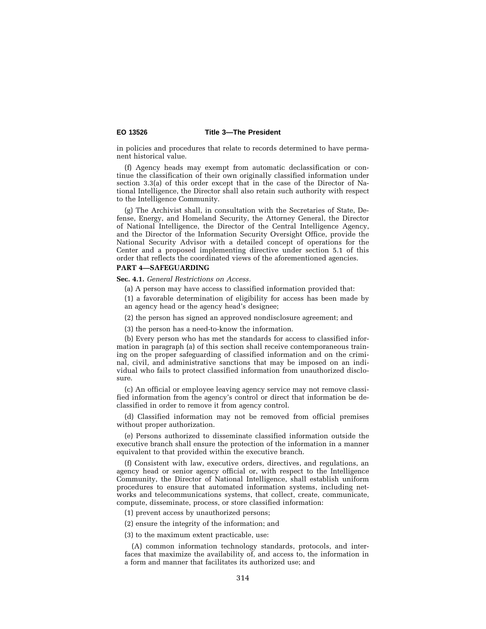in policies and procedures that relate to records determined to have permanent historical value.

(f) Agency heads may exempt from automatic declassification or continue the classification of their own originally classified information under section 3.3(a) of this order except that in the case of the Director of National Intelligence, the Director shall also retain such authority with respect to the Intelligence Community.

(g) The Archivist shall, in consultation with the Secretaries of State, Defense, Energy, and Homeland Security, the Attorney General, the Director of National Intelligence, the Director of the Central Intelligence Agency, and the Director of the Information Security Oversight Office, provide the National Security Advisor with a detailed concept of operations for the Center and a proposed implementing directive under section 5.1 of this order that reflects the coordinated views of the aforementioned agencies.

#### **PART 4—SAFEGUARDING**

**Sec. 4.1.** *General Restrictions on Access.* 

(a) A person may have access to classified information provided that:

(1) a favorable determination of eligibility for access has been made by an agency head or the agency head's designee;

(2) the person has signed an approved nondisclosure agreement; and

(3) the person has a need-to-know the information.

(b) Every person who has met the standards for access to classified information in paragraph (a) of this section shall receive contemporaneous training on the proper safeguarding of classified information and on the criminal, civil, and administrative sanctions that may be imposed on an individual who fails to protect classified information from unauthorized disclosure.

(c) An official or employee leaving agency service may not remove classified information from the agency's control or direct that information be declassified in order to remove it from agency control.

(d) Classified information may not be removed from official premises without proper authorization.

(e) Persons authorized to disseminate classified information outside the executive branch shall ensure the protection of the information in a manner equivalent to that provided within the executive branch.

(f) Consistent with law, executive orders, directives, and regulations, an agency head or senior agency official or, with respect to the Intelligence Community, the Director of National Intelligence, shall establish uniform procedures to ensure that automated information systems, including networks and telecommunications systems, that collect, create, communicate, compute, disseminate, process, or store classified information:

(1) prevent access by unauthorized persons;

(2) ensure the integrity of the information; and

(3) to the maximum extent practicable, use:

(A) common information technology standards, protocols, and interfaces that maximize the availability of, and access to, the information in a form and manner that facilitates its authorized use; and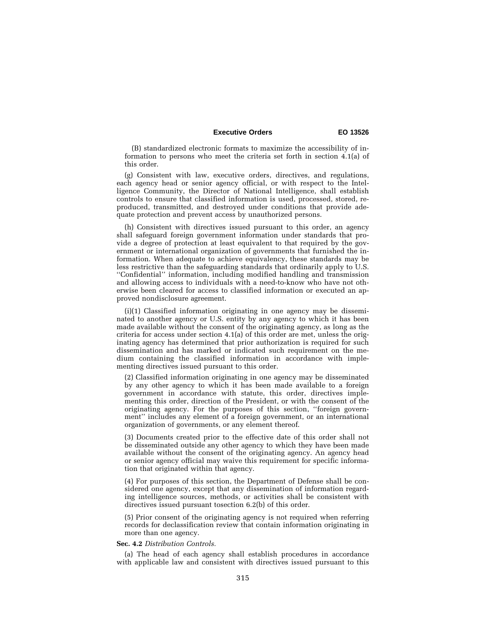(B) standardized electronic formats to maximize the accessibility of information to persons who meet the criteria set forth in section 4.1(a) of this order.

(g) Consistent with law, executive orders, directives, and regulations, each agency head or senior agency official, or with respect to the Intelligence Community, the Director of National Intelligence, shall establish controls to ensure that classified information is used, processed, stored, reproduced, transmitted, and destroyed under conditions that provide adequate protection and prevent access by unauthorized persons.

(h) Consistent with directives issued pursuant to this order, an agency shall safeguard foreign government information under standards that provide a degree of protection at least equivalent to that required by the government or international organization of governments that furnished the information. When adequate to achieve equivalency, these standards may be less restrictive than the safeguarding standards that ordinarily apply to U.S. ''Confidential'' information, including modified handling and transmission and allowing access to individuals with a need-to-know who have not otherwise been cleared for access to classified information or executed an approved nondisclosure agreement.

(i)(1) Classified information originating in one agency may be disseminated to another agency or U.S. entity by any agency to which it has been made available without the consent of the originating agency, as long as the criteria for access under section 4.1(a) of this order are met, unless the originating agency has determined that prior authorization is required for such dissemination and has marked or indicated such requirement on the medium containing the classified information in accordance with implementing directives issued pursuant to this order.

(2) Classified information originating in one agency may be disseminated by any other agency to which it has been made available to a foreign government in accordance with statute, this order, directives implementing this order, direction of the President, or with the consent of the originating agency. For the purposes of this section, ''foreign government'' includes any element of a foreign government, or an international organization of governments, or any element thereof.

(3) Documents created prior to the effective date of this order shall not be disseminated outside any other agency to which they have been made available without the consent of the originating agency. An agency head or senior agency official may waive this requirement for specific information that originated within that agency.

(4) For purposes of this section, the Department of Defense shall be considered one agency, except that any dissemination of information regarding intelligence sources, methods, or activities shall be consistent with directives issued pursuant tosection 6.2(b) of this order.

(5) Prior consent of the originating agency is not required when referring records for declassification review that contain information originating in more than one agency.

### **Sec. 4.2** *Distribution Controls.*

(a) The head of each agency shall establish procedures in accordance with applicable law and consistent with directives issued pursuant to this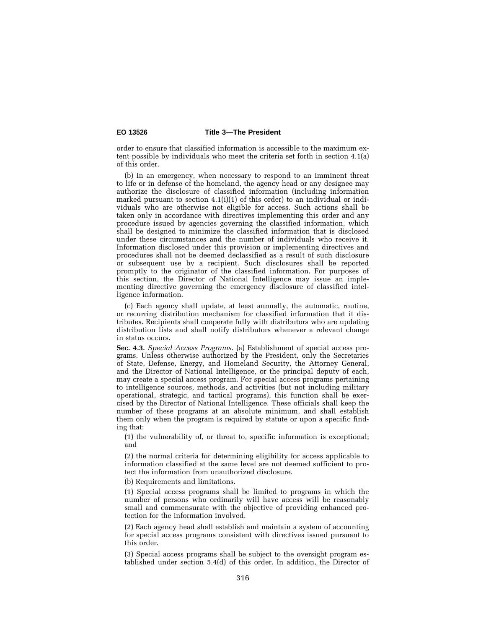order to ensure that classified information is accessible to the maximum extent possible by individuals who meet the criteria set forth in section 4.1(a) of this order.

(b) In an emergency, when necessary to respond to an imminent threat to life or in defense of the homeland, the agency head or any designee may authorize the disclosure of classified information (including information marked pursuant to section 4.1(i)(1) of this order) to an individual or individuals who are otherwise not eligible for access. Such actions shall be taken only in accordance with directives implementing this order and any procedure issued by agencies governing the classified information, which shall be designed to minimize the classified information that is disclosed under these circumstances and the number of individuals who receive it. Information disclosed under this provision or implementing directives and procedures shall not be deemed declassified as a result of such disclosure or subsequent use by a recipient. Such disclosures shall be reported promptly to the originator of the classified information. For purposes of this section, the Director of National Intelligence may issue an implementing directive governing the emergency disclosure of classified intelligence information.

(c) Each agency shall update, at least annually, the automatic, routine, or recurring distribution mechanism for classified information that it distributes. Recipients shall cooperate fully with distributors who are updating distribution lists and shall notify distributors whenever a relevant change in status occurs.

**Sec. 4.3.** *Special Access Programs.* (a) Establishment of special access programs. Unless otherwise authorized by the President, only the Secretaries of State, Defense, Energy, and Homeland Security, the Attorney General, and the Director of National Intelligence, or the principal deputy of each, may create a special access program. For special access programs pertaining to intelligence sources, methods, and activities (but not including military operational, strategic, and tactical programs), this function shall be exercised by the Director of National Intelligence. These officials shall keep the number of these programs at an absolute minimum, and shall establish them only when the program is required by statute or upon a specific finding that:

(1) the vulnerability of, or threat to, specific information is exceptional; and

(2) the normal criteria for determining eligibility for access applicable to information classified at the same level are not deemed sufficient to protect the information from unauthorized disclosure.

(b) Requirements and limitations.

(1) Special access programs shall be limited to programs in which the number of persons who ordinarily will have access will be reasonably small and commensurate with the objective of providing enhanced protection for the information involved.

(2) Each agency head shall establish and maintain a system of accounting for special access programs consistent with directives issued pursuant to this order.

(3) Special access programs shall be subject to the oversight program established under section 5.4(d) of this order. In addition, the Director of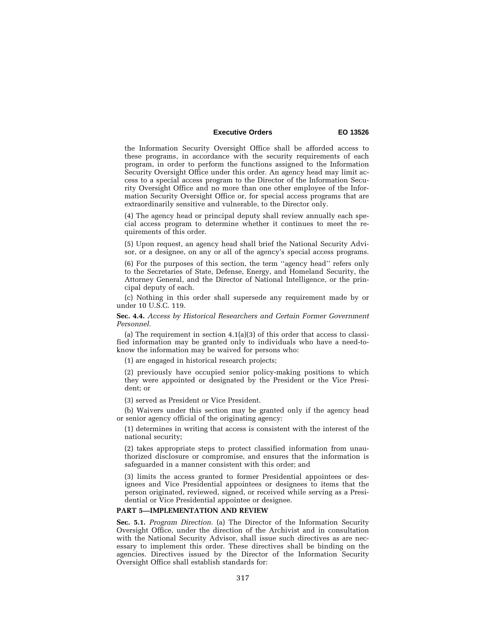the Information Security Oversight Office shall be afforded access to these programs, in accordance with the security requirements of each program, in order to perform the functions assigned to the Information Security Oversight Office under this order. An agency head may limit access to a special access program to the Director of the Information Security Oversight Office and no more than one other employee of the Information Security Oversight Office or, for special access programs that are extraordinarily sensitive and vulnerable, to the Director only.

(4) The agency head or principal deputy shall review annually each special access program to determine whether it continues to meet the requirements of this order.

(5) Upon request, an agency head shall brief the National Security Advisor, or a designee, on any or all of the agency's special access programs.

(6) For the purposes of this section, the term ''agency head'' refers only to the Secretaries of State, Defense, Energy, and Homeland Security, the Attorney General, and the Director of National Intelligence, or the principal deputy of each.

(c) Nothing in this order shall supersede any requirement made by or under 10 U.S.C. 119.

**Sec. 4.4.** *Access by Historical Researchers and Certain Former Government Personnel.* 

(a) The requirement in section 4.1(a)(3) of this order that access to classified information may be granted only to individuals who have a need-toknow the information may be waived for persons who:

(1) are engaged in historical research projects;

(2) previously have occupied senior policy-making positions to which they were appointed or designated by the President or the Vice President; or

(3) served as President or Vice President.

(b) Waivers under this section may be granted only if the agency head or senior agency official of the originating agency:

(1) determines in writing that access is consistent with the interest of the national security;

(2) takes appropriate steps to protect classified information from unauthorized disclosure or compromise, and ensures that the information is safeguarded in a manner consistent with this order; and

(3) limits the access granted to former Presidential appointees or designees and Vice Presidential appointees or designees to items that the person originated, reviewed, signed, or received while serving as a Presidential or Vice Presidential appointee or designee.

# **PART 5—IMPLEMENTATION AND REVIEW**

**Sec. 5.1.** *Program Direction.* (a) The Director of the Information Security Oversight Office, under the direction of the Archivist and in consultation with the National Security Advisor, shall issue such directives as are necessary to implement this order. These directives shall be binding on the agencies. Directives issued by the Director of the Information Security Oversight Office shall establish standards for: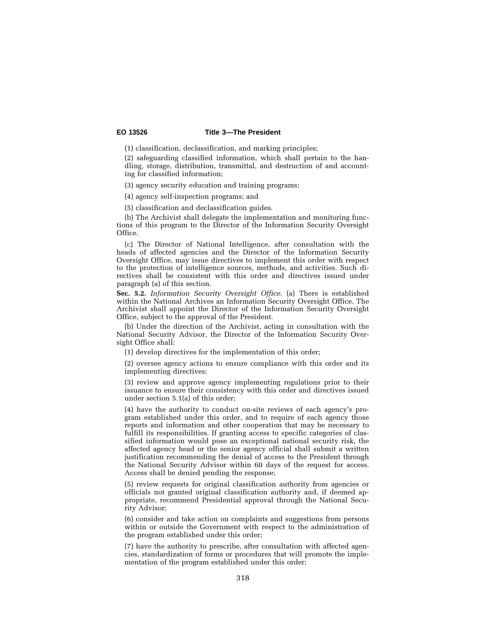(1) classification, declassification, and marking principles;

(2) safeguarding classified information, which shall pertain to the handling, storage, distribution, transmittal, and destruction of and accounting for classified information;

(3) agency security education and training programs;

(4) agency self-inspection programs; and

(5) classification and declassification guides.

(b) The Archivist shall delegate the implementation and monitoring functions of this program to the Director of the Information Security Oversight Office.

(c) The Director of National Intelligence, after consultation with the heads of affected agencies and the Director of the Information Security Oversight Office, may issue directives to implement this order with respect to the protection of intelligence sources, methods, and activities. Such directives shall be consistent with this order and directives issued under paragraph (a) of this section.

**Sec. 5.2.** *Information Security Oversight Office.* (a) There is established within the National Archives an Information Security Oversight Office. The Archivist shall appoint the Director of the Information Security Oversight Office, subject to the approval of the President.

(b) Under the direction of the Archivist, acting in consultation with the National Security Advisor, the Director of the Information Security Oversight Office shall:

(1) develop directives for the implementation of this order;

(2) oversee agency actions to ensure compliance with this order and its implementing directives;

(3) review and approve agency implementing regulations prior to their issuance to ensure their consistency with this order and directives issued under section 5.1(a) of this order;

(4) have the authority to conduct on-site reviews of each agency's program established under this order, and to require of each agency those reports and information and other cooperation that may be necessary to fulfill its responsibilities. If granting access to specific categories of classified information would pose an exceptional national security risk, the affected agency head or the senior agency official shall submit a written justification recommending the denial of access to the President through the National Security Advisor within 60 days of the request for access. Access shall be denied pending the response;

(5) review requests for original classification authority from agencies or officials not granted original classification authority and, if deemed appropriate, recommend Presidential approval through the National Security Advisor;

(6) consider and take action on complaints and suggestions from persons within or outside the Government with respect to the administration of the program established under this order;

(7) have the authority to prescribe, after consultation with affected agencies, standardization of forms or procedures that will promote the implementation of the program established under this order;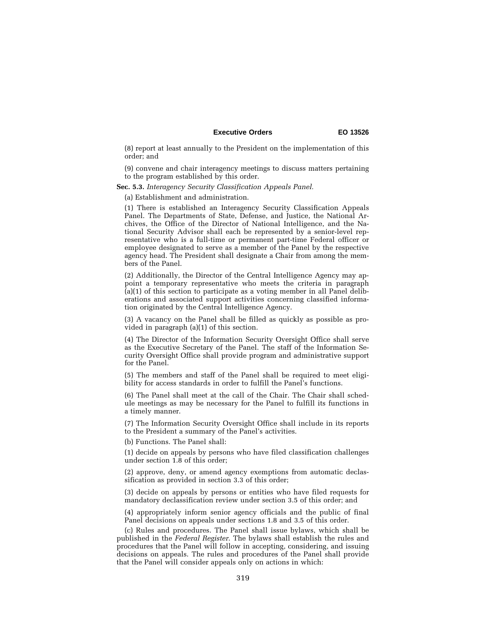(8) report at least annually to the President on the implementation of this order; and

(9) convene and chair interagency meetings to discuss matters pertaining to the program established by this order.

**Sec. 5.3.** *Interagency Security Classification Appeals Panel.* 

(a) Establishment and administration.

(1) There is established an Interagency Security Classification Appeals Panel. The Departments of State, Defense, and Justice, the National Archives, the Office of the Director of National Intelligence, and the National Security Advisor shall each be represented by a senior-level representative who is a full-time or permanent part-time Federal officer or employee designated to serve as a member of the Panel by the respective agency head. The President shall designate a Chair from among the members of the Panel.

(2) Additionally, the Director of the Central Intelligence Agency may appoint a temporary representative who meets the criteria in paragraph (a)(1) of this section to participate as a voting member in all Panel deliberations and associated support activities concerning classified information originated by the Central Intelligence Agency.

(3) A vacancy on the Panel shall be filled as quickly as possible as provided in paragraph (a)(1) of this section.

(4) The Director of the Information Security Oversight Office shall serve as the Executive Secretary of the Panel. The staff of the Information Security Oversight Office shall provide program and administrative support for the Panel.

(5) The members and staff of the Panel shall be required to meet eligibility for access standards in order to fulfill the Panel's functions.

(6) The Panel shall meet at the call of the Chair. The Chair shall schedule meetings as may be necessary for the Panel to fulfill its functions in a timely manner.

(7) The Information Security Oversight Office shall include in its reports to the President a summary of the Panel's activities.

(b) Functions. The Panel shall:

(1) decide on appeals by persons who have filed classification challenges under section 1.8 of this order;

(2) approve, deny, or amend agency exemptions from automatic declassification as provided in section 3.3 of this order;

(3) decide on appeals by persons or entities who have filed requests for mandatory declassification review under section 3.5 of this order; and

(4) appropriately inform senior agency officials and the public of final Panel decisions on appeals under sections 1.8 and 3.5 of this order.

(c) Rules and procedures. The Panel shall issue bylaws, which shall be published in the *Federal Register*. The bylaws shall establish the rules and procedures that the Panel will follow in accepting, considering, and issuing decisions on appeals. The rules and procedures of the Panel shall provide that the Panel will consider appeals only on actions in which: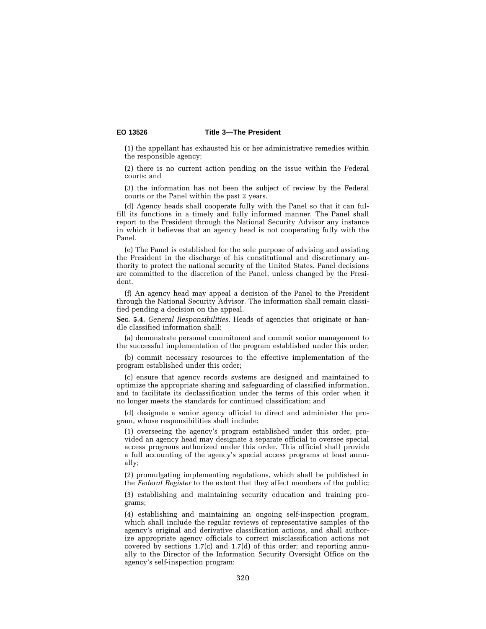(1) the appellant has exhausted his or her administrative remedies within the responsible agency;

(2) there is no current action pending on the issue within the Federal courts; and

(3) the information has not been the subject of review by the Federal courts or the Panel within the past 2 years.

(d) Agency heads shall cooperate fully with the Panel so that it can fulfill its functions in a timely and fully informed manner. The Panel shall report to the President through the National Security Advisor any instance in which it believes that an agency head is not cooperating fully with the Panel.

(e) The Panel is established for the sole purpose of advising and assisting the President in the discharge of his constitutional and discretionary authority to protect the national security of the United States. Panel decisions are committed to the discretion of the Panel, unless changed by the President.

(f) An agency head may appeal a decision of the Panel to the President through the National Security Advisor. The information shall remain classified pending a decision on the appeal.

**Sec. 5.4.** *General Responsibilities.* Heads of agencies that originate or handle classified information shall:

(a) demonstrate personal commitment and commit senior management to the successful implementation of the program established under this order;

(b) commit necessary resources to the effective implementation of the program established under this order;

(c) ensure that agency records systems are designed and maintained to optimize the appropriate sharing and safeguarding of classified information, and to facilitate its declassification under the terms of this order when it no longer meets the standards for continued classification; and

(d) designate a senior agency official to direct and administer the program, whose responsibilities shall include:

(1) overseeing the agency's program established under this order, provided an agency head may designate a separate official to oversee special access programs authorized under this order. This official shall provide a full accounting of the agency's special access programs at least annually;

(2) promulgating implementing regulations, which shall be published in the *Federal Register* to the extent that they affect members of the public;

(3) establishing and maintaining security education and training programs;

(4) establishing and maintaining an ongoing self-inspection program, which shall include the regular reviews of representative samples of the agency's original and derivative classification actions, and shall authorize appropriate agency officials to correct misclassification actions not covered by sections 1.7(c) and 1.7(d) of this order; and reporting annually to the Director of the Information Security Oversight Office on the agency's self-inspection program;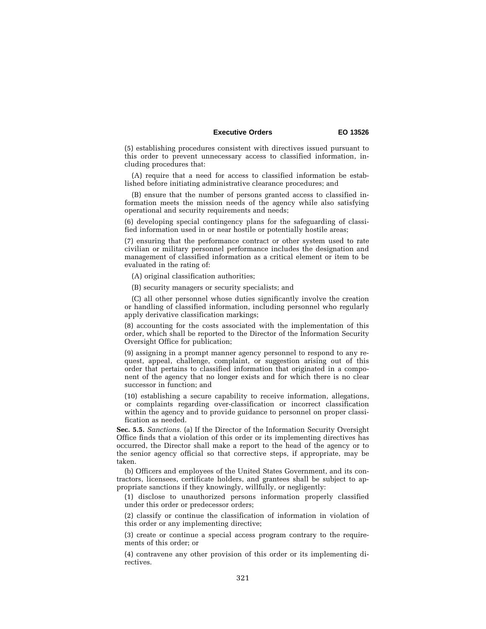(5) establishing procedures consistent with directives issued pursuant to this order to prevent unnecessary access to classified information, including procedures that:

(A) require that a need for access to classified information be established before initiating administrative clearance procedures; and

(B) ensure that the number of persons granted access to classified information meets the mission needs of the agency while also satisfying operational and security requirements and needs;

(6) developing special contingency plans for the safeguarding of classified information used in or near hostile or potentially hostile areas;

(7) ensuring that the performance contract or other system used to rate civilian or military personnel performance includes the designation and management of classified information as a critical element or item to be evaluated in the rating of:

(A) original classification authorities;

(B) security managers or security specialists; and

(C) all other personnel whose duties significantly involve the creation or handling of classified information, including personnel who regularly apply derivative classification markings;

(8) accounting for the costs associated with the implementation of this order, which shall be reported to the Director of the Information Security Oversight Office for publication;

(9) assigning in a prompt manner agency personnel to respond to any request, appeal, challenge, complaint, or suggestion arising out of this order that pertains to classified information that originated in a component of the agency that no longer exists and for which there is no clear successor in function; and

(10) establishing a secure capability to receive information, allegations, or complaints regarding over-classification or incorrect classification within the agency and to provide guidance to personnel on proper classification as needed.

**Sec. 5.5.** *Sanctions.* (a) If the Director of the Information Security Oversight Office finds that a violation of this order or its implementing directives has occurred, the Director shall make a report to the head of the agency or to the senior agency official so that corrective steps, if appropriate, may be taken.

(b) Officers and employees of the United States Government, and its contractors, licensees, certificate holders, and grantees shall be subject to appropriate sanctions if they knowingly, willfully, or negligently:

(1) disclose to unauthorized persons information properly classified under this order or predecessor orders;

(2) classify or continue the classification of information in violation of this order or any implementing directive;

(3) create or continue a special access program contrary to the requirements of this order; or

(4) contravene any other provision of this order or its implementing directives.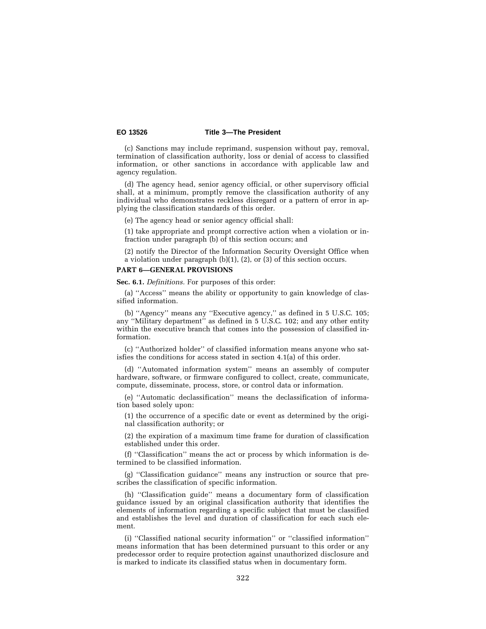(c) Sanctions may include reprimand, suspension without pay, removal, termination of classification authority, loss or denial of access to classified information, or other sanctions in accordance with applicable law and agency regulation.

(d) The agency head, senior agency official, or other supervisory official shall, at a minimum, promptly remove the classification authority of any individual who demonstrates reckless disregard or a pattern of error in applying the classification standards of this order.

(e) The agency head or senior agency official shall:

(1) take appropriate and prompt corrective action when a violation or infraction under paragraph (b) of this section occurs; and

(2) notify the Director of the Information Security Oversight Office when a violation under paragraph (b)(1), (2), or (3) of this section occurs.

# **PART 6—GENERAL PROVISIONS**

**Sec. 6.1.** *Definitions.* For purposes of this order:

(a) ''Access'' means the ability or opportunity to gain knowledge of classified information.

(b) ''Agency'' means any ''Executive agency,'' as defined in 5 U.S.C. 105; any ''Military department'' as defined in 5 U.S.C. 102; and any other entity within the executive branch that comes into the possession of classified information.

(c) ''Authorized holder'' of classified information means anyone who satisfies the conditions for access stated in section 4.1(a) of this order.

(d) ''Automated information system'' means an assembly of computer hardware, software, or firmware configured to collect, create, communicate, compute, disseminate, process, store, or control data or information.

(e) ''Automatic declassification'' means the declassification of information based solely upon:

(1) the occurrence of a specific date or event as determined by the original classification authority; or

(2) the expiration of a maximum time frame for duration of classification established under this order.

(f) ''Classification'' means the act or process by which information is determined to be classified information.

(g) ''Classification guidance'' means any instruction or source that prescribes the classification of specific information.

(h) ''Classification guide'' means a documentary form of classification guidance issued by an original classification authority that identifies the elements of information regarding a specific subject that must be classified and establishes the level and duration of classification for each such element.

(i) ''Classified national security information'' or ''classified information'' means information that has been determined pursuant to this order or any predecessor order to require protection against unauthorized disclosure and is marked to indicate its classified status when in documentary form.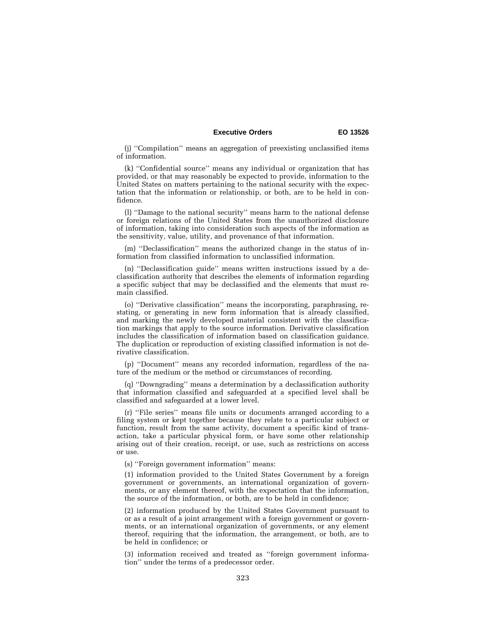(j) ''Compilation'' means an aggregation of preexisting unclassified items of information.

(k) ''Confidential source'' means any individual or organization that has provided, or that may reasonably be expected to provide, information to the United States on matters pertaining to the national security with the expectation that the information or relationship, or both, are to be held in confidence.

(l) ''Damage to the national security'' means harm to the national defense or foreign relations of the United States from the unauthorized disclosure of information, taking into consideration such aspects of the information as the sensitivity, value, utility, and provenance of that information.

(m) ''Declassification'' means the authorized change in the status of information from classified information to unclassified information.

(n) ''Declassification guide'' means written instructions issued by a declassification authority that describes the elements of information regarding a specific subject that may be declassified and the elements that must remain classified.

(o) ''Derivative classification'' means the incorporating, paraphrasing, restating, or generating in new form information that is already classified, and marking the newly developed material consistent with the classification markings that apply to the source information. Derivative classification includes the classification of information based on classification guidance. The duplication or reproduction of existing classified information is not derivative classification.

(p) ''Document'' means any recorded information, regardless of the nature of the medium or the method or circumstances of recording.

(q) ''Downgrading'' means a determination by a declassification authority that information classified and safeguarded at a specified level shall be classified and safeguarded at a lower level.

(r) ''File series'' means file units or documents arranged according to a filing system or kept together because they relate to a particular subject or function, result from the same activity, document a specific kind of transaction, take a particular physical form, or have some other relationship arising out of their creation, receipt, or use, such as restrictions on access or use.

(s) ''Foreign government information'' means:

(1) information provided to the United States Government by a foreign government or governments, an international organization of governments, or any element thereof, with the expectation that the information, the source of the information, or both, are to be held in confidence;

(2) information produced by the United States Government pursuant to or as a result of a joint arrangement with a foreign government or governments, or an international organization of governments, or any element thereof, requiring that the information, the arrangement, or both, are to be held in confidence; or

(3) information received and treated as ''foreign government information'' under the terms of a predecessor order.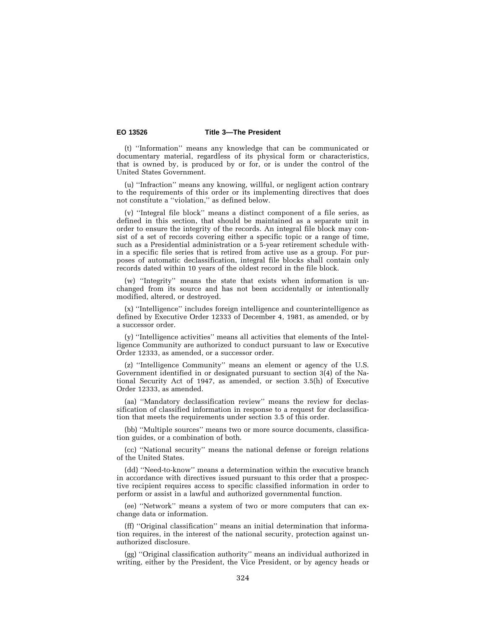(t) ''Information'' means any knowledge that can be communicated or documentary material, regardless of its physical form or characteristics, that is owned by, is produced by or for, or is under the control of the United States Government.

(u) ''Infraction'' means any knowing, willful, or negligent action contrary to the requirements of this order or its implementing directives that does not constitute a ''violation,'' as defined below.

(v) ''Integral file block'' means a distinct component of a file series, as defined in this section, that should be maintained as a separate unit in order to ensure the integrity of the records. An integral file block may consist of a set of records covering either a specific topic or a range of time, such as a Presidential administration or a 5-year retirement schedule within a specific file series that is retired from active use as a group. For purposes of automatic declassification, integral file blocks shall contain only records dated within 10 years of the oldest record in the file block.

(w) ''Integrity'' means the state that exists when information is unchanged from its source and has not been accidentally or intentionally modified, altered, or destroyed.

(x) ''Intelligence'' includes foreign intelligence and counterintelligence as defined by Executive Order 12333 of December 4, 1981, as amended, or by a successor order.

(y) ''Intelligence activities'' means all activities that elements of the Intelligence Community are authorized to conduct pursuant to law or Executive Order 12333, as amended, or a successor order.

(z) ''Intelligence Community'' means an element or agency of the U.S. Government identified in or designated pursuant to section 3(4) of the National Security Act of 1947, as amended, or section 3.5(h) of Executive Order 12333, as amended.

(aa) ''Mandatory declassification review'' means the review for declassification of classified information in response to a request for declassification that meets the requirements under section 3.5 of this order.

(bb) ''Multiple sources'' means two or more source documents, classification guides, or a combination of both.

(cc) ''National security'' means the national defense or foreign relations of the United States.

(dd) ''Need-to-know'' means a determination within the executive branch in accordance with directives issued pursuant to this order that a prospective recipient requires access to specific classified information in order to perform or assist in a lawful and authorized governmental function.

(ee) ''Network'' means a system of two or more computers that can exchange data or information.

(ff) ''Original classification'' means an initial determination that information requires, in the interest of the national security, protection against unauthorized disclosure.

(gg) ''Original classification authority'' means an individual authorized in writing, either by the President, the Vice President, or by agency heads or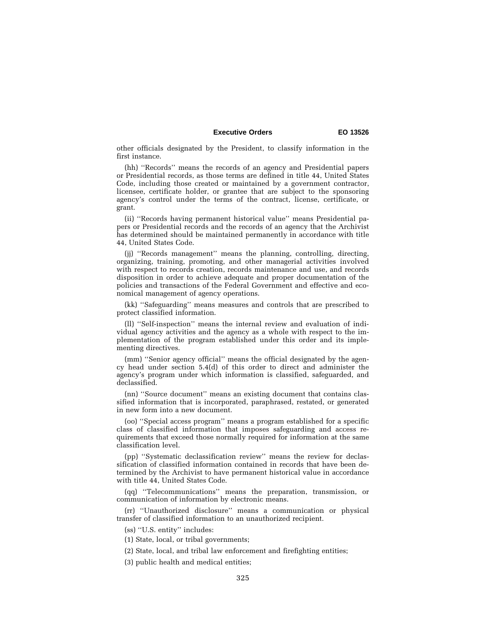other officials designated by the President, to classify information in the first instance.

(hh) ''Records'' means the records of an agency and Presidential papers or Presidential records, as those terms are defined in title 44, United States Code, including those created or maintained by a government contractor, licensee, certificate holder, or grantee that are subject to the sponsoring agency's control under the terms of the contract, license, certificate, or grant.

(ii) ''Records having permanent historical value'' means Presidential papers or Presidential records and the records of an agency that the Archivist has determined should be maintained permanently in accordance with title 44, United States Code.

(jj) ''Records management'' means the planning, controlling, directing, organizing, training, promoting, and other managerial activities involved with respect to records creation, records maintenance and use, and records disposition in order to achieve adequate and proper documentation of the policies and transactions of the Federal Government and effective and economical management of agency operations.

(kk) ''Safeguarding'' means measures and controls that are prescribed to protect classified information.

(ll) ''Self-inspection'' means the internal review and evaluation of individual agency activities and the agency as a whole with respect to the implementation of the program established under this order and its implementing directives.

(mm) ''Senior agency official'' means the official designated by the agency head under section 5.4(d) of this order to direct and administer the agency's program under which information is classified, safeguarded, and declassified.

(nn) ''Source document'' means an existing document that contains classified information that is incorporated, paraphrased, restated, or generated in new form into a new document.

(oo) ''Special access program'' means a program established for a specific class of classified information that imposes safeguarding and access requirements that exceed those normally required for information at the same classification level.

(pp) ''Systematic declassification review'' means the review for declassification of classified information contained in records that have been determined by the Archivist to have permanent historical value in accordance with title 44, United States Code.

(qq) ''Telecommunications'' means the preparation, transmission, or communication of information by electronic means.

(rr) ''Unauthorized disclosure'' means a communication or physical transfer of classified information to an unauthorized recipient.

(ss) ''U.S. entity'' includes:

(1) State, local, or tribal governments;

(2) State, local, and tribal law enforcement and firefighting entities;

(3) public health and medical entities;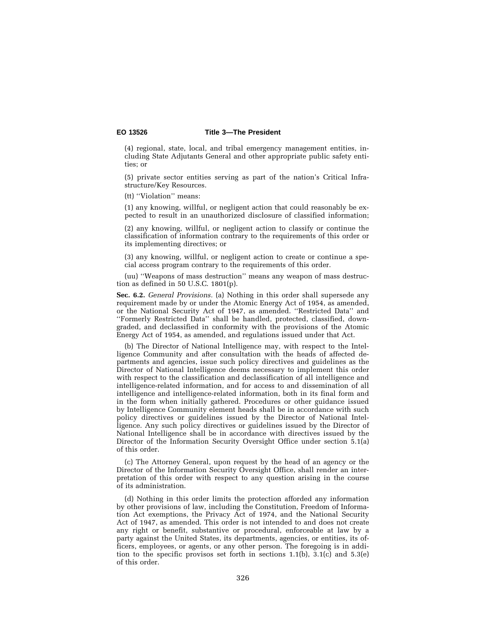(4) regional, state, local, and tribal emergency management entities, including State Adjutants General and other appropriate public safety entities; or

(5) private sector entities serving as part of the nation's Critical Infrastructure/Key Resources.

(tt) ''Violation'' means:

(1) any knowing, willful, or negligent action that could reasonably be expected to result in an unauthorized disclosure of classified information;

(2) any knowing, willful, or negligent action to classify or continue the classification of information contrary to the requirements of this order or its implementing directives; or

(3) any knowing, willful, or negligent action to create or continue a special access program contrary to the requirements of this order.

(uu) ''Weapons of mass destruction'' means any weapon of mass destruction as defined in 50 U.S.C. 1801(p).

**Sec. 6.2.** *General Provisions.* (a) Nothing in this order shall supersede any requirement made by or under the Atomic Energy Act of 1954, as amended, or the National Security Act of 1947, as amended. ''Restricted Data'' and ''Formerly Restricted Data'' shall be handled, protected, classified, downgraded, and declassified in conformity with the provisions of the Atomic Energy Act of 1954, as amended, and regulations issued under that Act.

(b) The Director of National Intelligence may, with respect to the Intelligence Community and after consultation with the heads of affected departments and agencies, issue such policy directives and guidelines as the Director of National Intelligence deems necessary to implement this order with respect to the classification and declassification of all intelligence and intelligence-related information, and for access to and dissemination of all intelligence and intelligence-related information, both in its final form and in the form when initially gathered. Procedures or other guidance issued by Intelligence Community element heads shall be in accordance with such policy directives or guidelines issued by the Director of National Intelligence. Any such policy directives or guidelines issued by the Director of National Intelligence shall be in accordance with directives issued by the Director of the Information Security Oversight Office under section 5.1(a) of this order.

(c) The Attorney General, upon request by the head of an agency or the Director of the Information Security Oversight Office, shall render an interpretation of this order with respect to any question arising in the course of its administration.

(d) Nothing in this order limits the protection afforded any information by other provisions of law, including the Constitution, Freedom of Information Act exemptions, the Privacy Act of 1974, and the National Security Act of 1947, as amended. This order is not intended to and does not create any right or benefit, substantive or procedural, enforceable at law by a party against the United States, its departments, agencies, or entities, its officers, employees, or agents, or any other person. The foregoing is in addition to the specific provisos set forth in sections 1.1(b), 3.1(c) and 5.3(e) of this order.